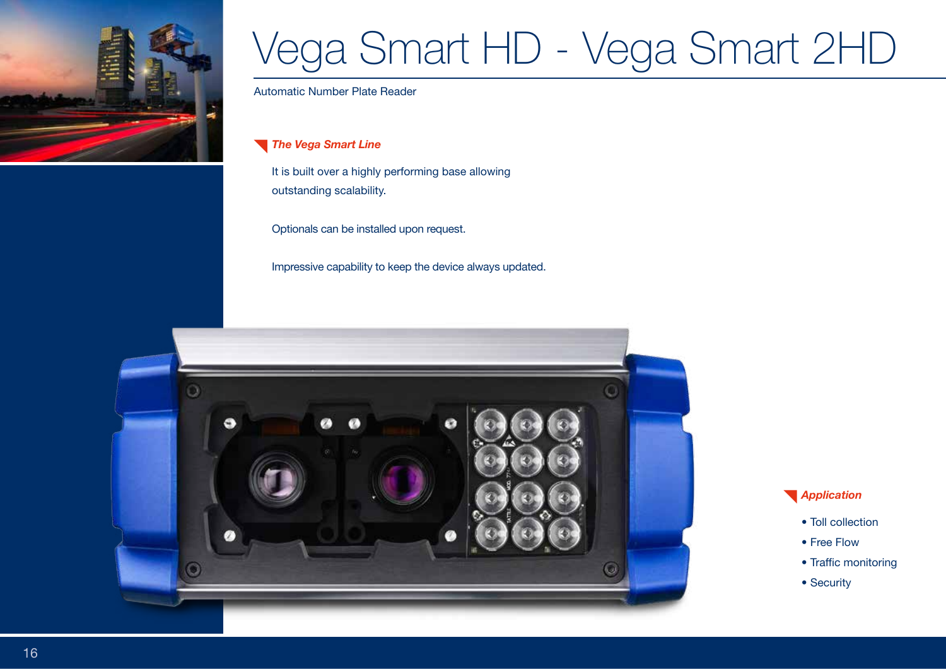

## Vega Smart HD - Vega Smart 2HD

Automatic Number Plate Reader

*The Vega Smart Line* 

It is built over a highly performing base allowing outstanding scalability.

Optionals can be installed upon request.

Impressive capability to keep the device always updated.



## *Application*

- Toll collection
- Free Flow
- Traffic monitoring
- Security